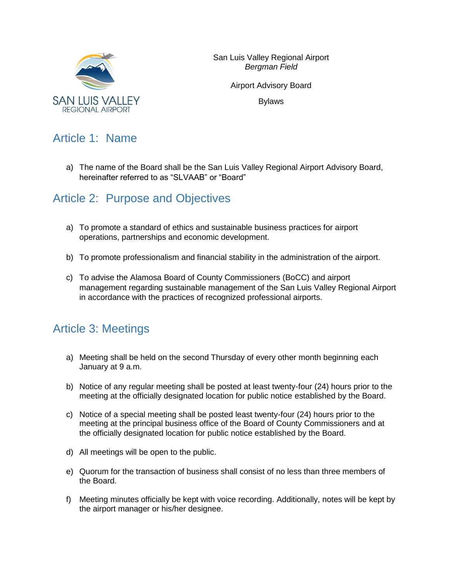

Airport Advisory Board

Bylaws

# Article 1: Name

a) The name of the Board shall be the San Luis Valley Regional Airport Advisory Board, hereinafter referred to as "SLVAAB" or "Board"

#### Article 2: Purpose and Objectives

- a) To promote a standard of ethics and sustainable business practices for airport operations, partnerships and economic development.
- b) To promote professionalism and financial stability in the administration of the airport.
- c) To advise the Alamosa Board of County Commissioners (BoCC) and airport management regarding sustainable management of the San Luis Valley Regional Airport in accordance with the practices of recognized professional airports.

# Article 3: Meetings

- a) Meeting shall be held on the second Thursday of every other month beginning each January at 9 a.m.
- b) Notice of any regular meeting shall be posted at least twenty-four (24) hours prior to the meeting at the officially designated location for public notice established by the Board.
- c) Notice of a special meeting shall be posted least twenty-four (24) hours prior to the meeting at the principal business office of the Board of County Commissioners and at the officially designated location for public notice established by the Board.
- d) All meetings will be open to the public.
- e) Quorum for the transaction of business shall consist of no less than three members of the Board.
- f) Meeting minutes officially be kept with voice recording. Additionally, notes will be kept by the airport manager or his/her designee.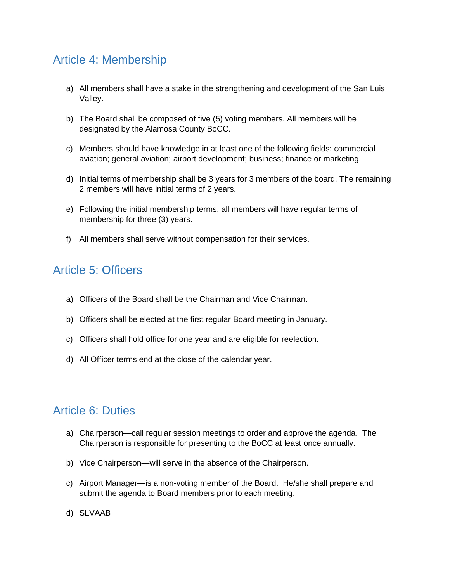# Article 4: Membership

- a) All members shall have a stake in the strengthening and development of the San Luis Valley.
- b) The Board shall be composed of five (5) voting members. All members will be designated by the Alamosa County BoCC.
- c) Members should have knowledge in at least one of the following fields: commercial aviation; general aviation; airport development; business; finance or marketing.
- d) Initial terms of membership shall be 3 years for 3 members of the board. The remaining 2 members will have initial terms of 2 years.
- e) Following the initial membership terms, all members will have regular terms of membership for three (3) years.
- f) All members shall serve without compensation for their services.

### Article 5: Officers

- a) Officers of the Board shall be the Chairman and Vice Chairman.
- b) Officers shall be elected at the first regular Board meeting in January.
- c) Officers shall hold office for one year and are eligible for reelection.
- d) All Officer terms end at the close of the calendar year.

#### Article 6: Duties

- a) Chairperson—call regular session meetings to order and approve the agenda. The Chairperson is responsible for presenting to the BoCC at least once annually.
- b) Vice Chairperson—will serve in the absence of the Chairperson.
- c) Airport Manager—is a non-voting member of the Board. He/she shall prepare and submit the agenda to Board members prior to each meeting.
- d) SLVAAB